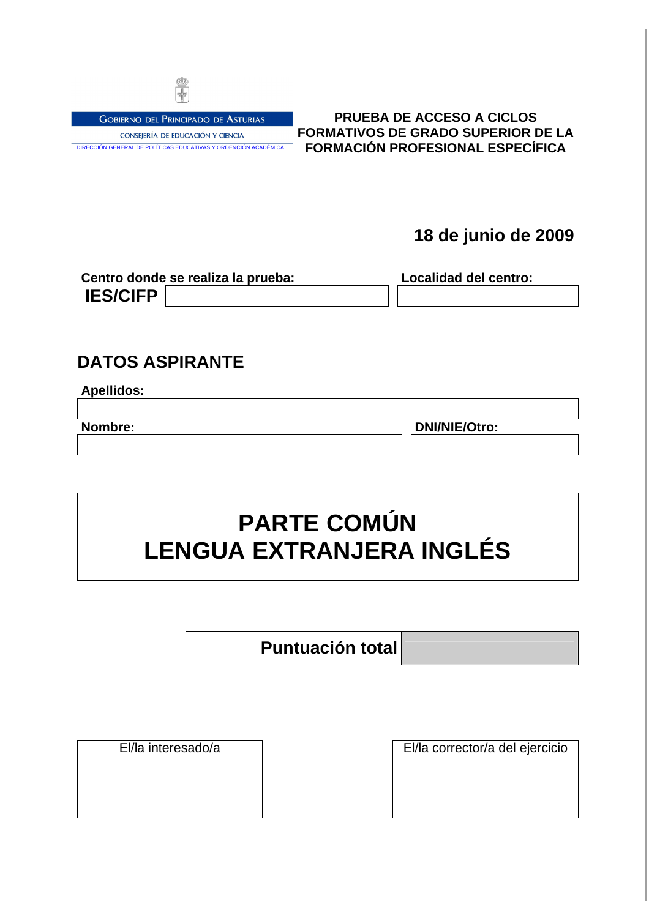

**GOBIERNO DEL PRINCIPADO DE ASTURIAS** CONSEJERÍA DE EDUCACIÓN Y CIENCIA DIRECCIÓN GENERAL DE POLÍTICAS EDUCATIVAS Y ORDENCIÓN ACADÉMICA

### **PRUEBA DE ACCESO A CICLOS FORMATIVOS DE GRADO SUPERIOR DE LA FORMACIÓN PROFESIONAL ESPECÍFICA**

# **18 de junio de 2009**

|                 | Centro donde se realiza la prueba: | Localidad del centro: |  |  |  |
|-----------------|------------------------------------|-----------------------|--|--|--|
| <b>IES/CIFP</b> |                                    |                       |  |  |  |

## **DATOS ASPIRANTE**

| Apellidos: |  |  |
|------------|--|--|
|            |  |  |

**Nombre: DNI/NIE/Otro:**

# **PARTE COMÚN LENGUA EXTRANJERA INGLÉS**

**Puntuación total**

El/la interesado/a El/la corrector/a del ejercicio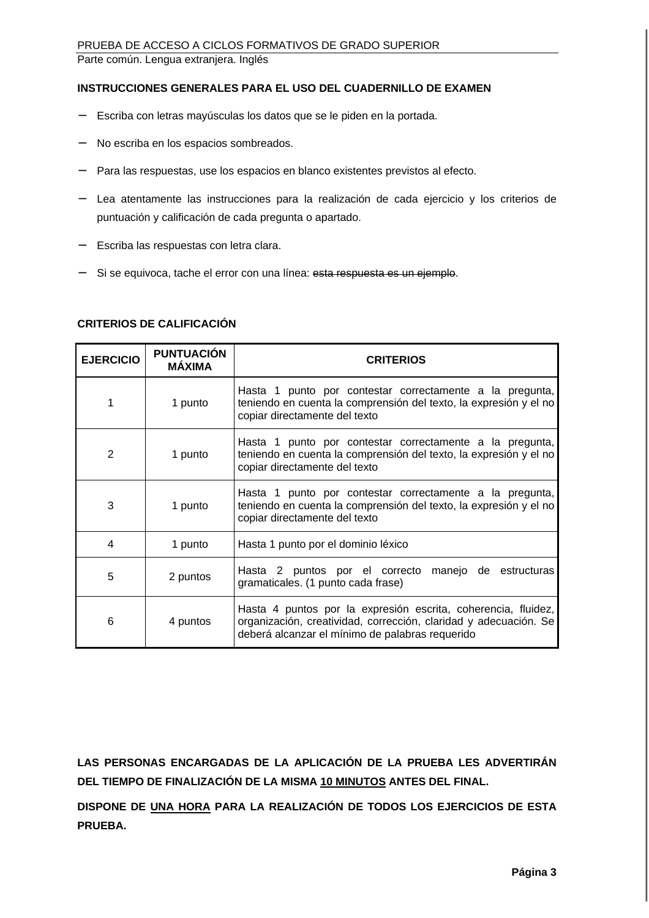#### **INSTRUCCIONES GENERALES PARA EL USO DEL CUADERNILLO DE EXAMEN**

- − Escriba con letras mayúsculas los datos que se le piden en la portada.
- No escriba en los espacios sombreados.
- − Para las respuestas, use los espacios en blanco existentes previstos al efecto.
- − Lea atentamente las instrucciones para la realización de cada ejercicio y los criterios de puntuación y calificación de cada pregunta o apartado.
- − Escriba las respuestas con letra clara.
- Si se equivoca, tache el error con una línea: esta respuesta es un ejemplo.

| <b>EJERCICIO</b> | <b>PUNTUACIÓN</b><br><b>MÁXIMA</b> | <b>CRITERIOS</b>                                                                                                                                               |  |  |
|------------------|------------------------------------|----------------------------------------------------------------------------------------------------------------------------------------------------------------|--|--|
| 1                | 1 punto                            | Hasta 1 punto por contestar correctamente a la pregunta,<br>teniendo en cuenta la comprensión del texto, la expresión y el no<br>copiar directamente del texto |  |  |
| 2                | 1 punto                            | Hasta 1 punto por contestar correctamente a la pregunta,<br>teniendo en cuenta la comprensión del texto, la expresión y el no<br>copiar directamente del texto |  |  |
| 3                | 1 punto                            | Hasta 1 punto por contestar correctamente a la pregunta,<br>teniendo en cuenta la comprensión del texto, la expresión y el no<br>copiar directamente del texto |  |  |
|                  | 1 punto                            | Hasta 1 punto por el dominio léxico                                                                                                                            |  |  |

#### **CRITERIOS DE CALIFICACIÓN**

6 4 puntos

**LAS PERSONAS ENCARGADAS DE LA APLICACIÓN DE LA PRUEBA LES ADVERTIRÁN DEL TIEMPO DE FINALIZACIÓN DE LA MISMA 10 MINUTOS ANTES DEL FINAL.** 

5 2 puntos Hasta 2 puntos por el correcto manejo de estructuras gramaticales. (1 punto cada frase)

deberá alcanzar el mínimo de palabras requerido

Hasta 4 puntos por la expresión escrita, coherencia, fluidez, organización, creatividad, corrección, claridad y adecuación. Se

**DISPONE DE UNA HORA PARA LA REALIZACIÓN DE TODOS LOS EJERCICIOS DE ESTA PRUEBA.**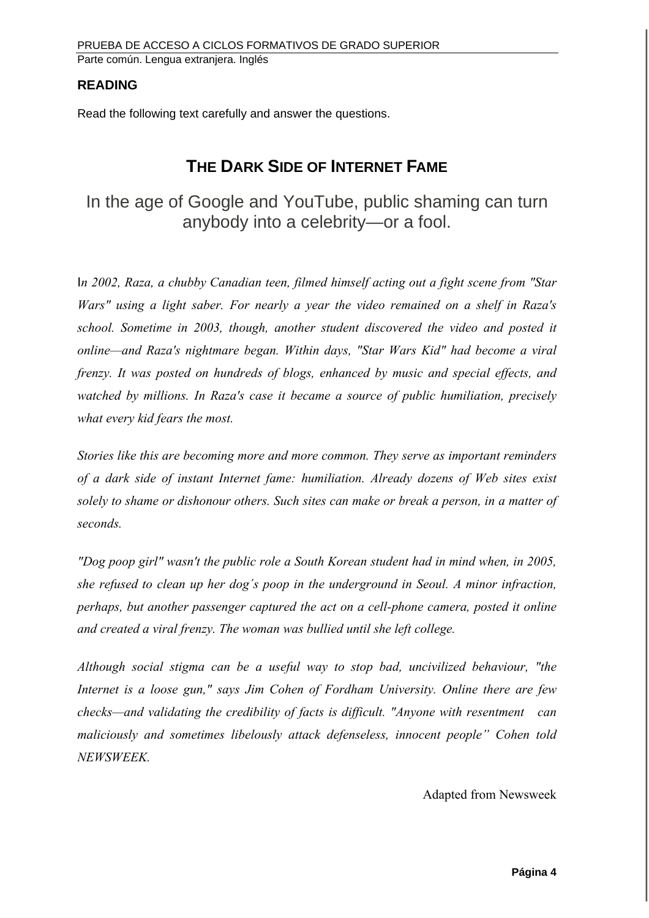#### **READING**

Read the following text carefully and answer the questions.

## **THE DARK SIDE OF INTERNET FAME**

In the age of Google and YouTube, public shaming can turn anybody into a celebrity—or a fool.

In 2002, Raza, a chubby Canadian teen, filmed himself acting out a fight scene from "Star Wars" using a light saber. For nearly a year the video remained on a shelf in Raza's school. Sometime in 2003, though, another student discovered the video and posted it online—and Raza's nightmare began. Within days, "Star Wars Kid" had become a viral frenzy. It was posted on hundreds of blogs, enhanced by music and special effects, and watched by millions. In Raza's case it became a source of public humiliation, precisely what every kid fears the most.

Stories like this are becoming more and more common. They serve as important reminders of a dark side of instant Internet fame: humiliation. Already dozens of Web sites exist solely to shame or dishonour others. Such sites can make or break a person, in a matter of seconds.

"Dog poop girl" wasn't the public role a South Korean student had in mind when, in 2005, she refused to clean up her dog´s poop in the underground in Seoul. A minor infraction, perhaps, but another passenger captured the act on a cell-phone camera, posted it online and created a viral frenzy. The woman was bullied until she left college.

Although social stigma can be a useful way to stop bad, uncivilized behaviour, "the Internet is a loose gun," says Jim Cohen of Fordham University. Online there are few checks—and validating the credibility of facts is difficult. "Anyone with resentment can maliciously and sometimes libelously attack defenseless, innocent people" Cohen told NEWSWEEK.

Adapted from Newsweek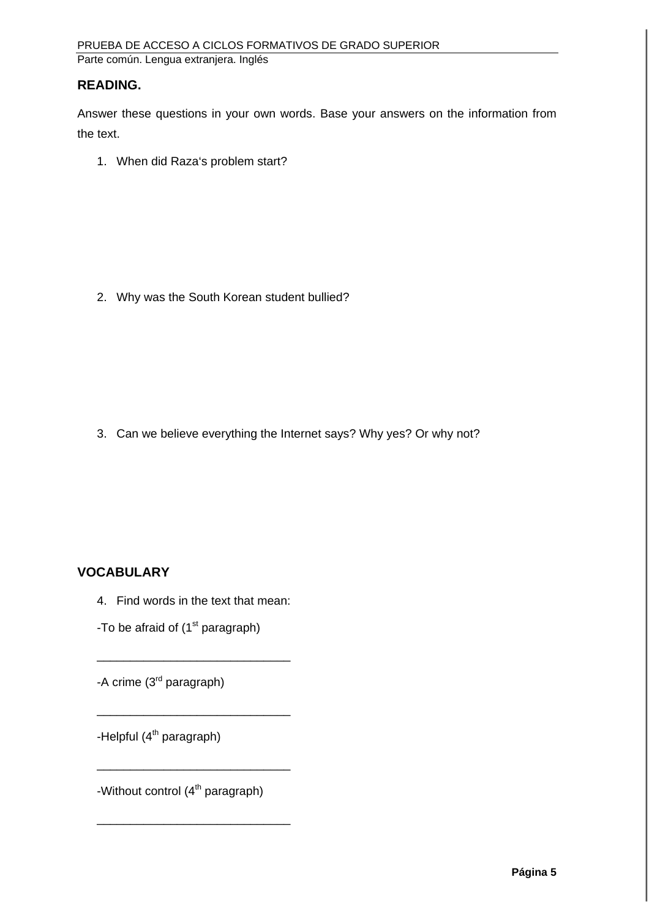#### **READING.**

Answer these questions in your own words. Base your answers on the information from the text.

1. When did Raza's problem start?

2. Why was the South Korean student bullied?

3. Can we believe everything the Internet says? Why yes? Or why not?

## **VOCABULARY**

4. Find words in the text that mean:

\_\_\_\_\_\_\_\_\_\_\_\_\_\_\_\_\_\_\_\_\_\_\_\_\_\_\_\_\_

\_\_\_\_\_\_\_\_\_\_\_\_\_\_\_\_\_\_\_\_\_\_\_\_\_\_\_\_\_

\_\_\_\_\_\_\_\_\_\_\_\_\_\_\_\_\_\_\_\_\_\_\_\_\_\_\_\_\_

\_\_\_\_\_\_\_\_\_\_\_\_\_\_\_\_\_\_\_\_\_\_\_\_\_\_\_\_\_

-To be afraid of  $(1<sup>st</sup>$  paragraph)

-A crime (3<sup>rd</sup> paragraph)

-Helpful  $(4<sup>th</sup>$  paragraph)

-Without control  $(4<sup>th</sup>$  paragraph)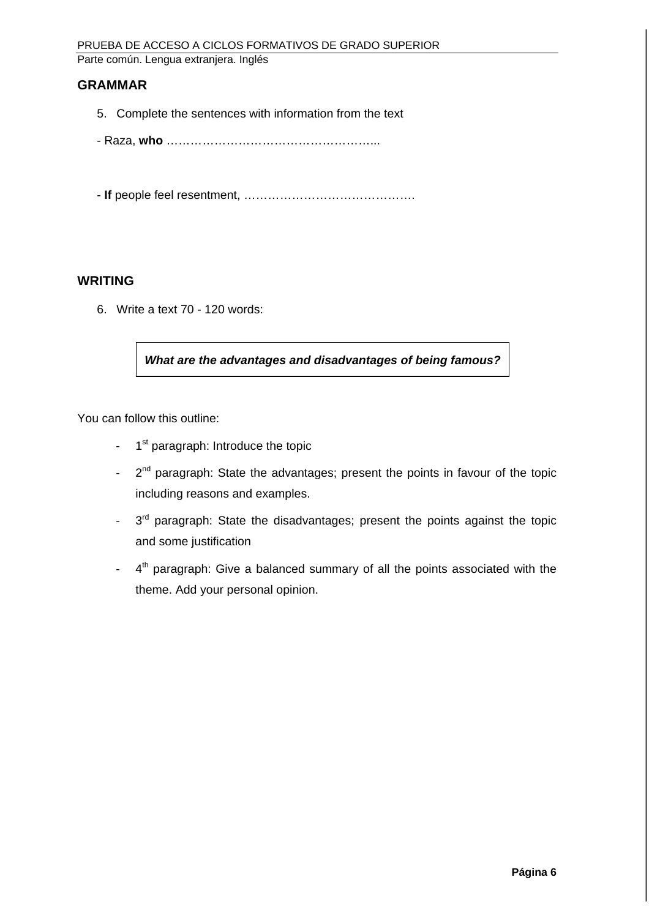#### **GRAMMAR**

- 5. Complete the sentences with information from the text
- Raza, **who** ……………………………………………...
- **If** people feel resentment, …………………………………….

#### **WRITING**

6. Write a text 70 - 120 words:

**What are the advantages and disadvantages of being famous?**

You can follow this outline:

- $-1$ <sup>st</sup> paragraph: Introduce the topic
- $-2^{nd}$  paragraph: State the advantages; present the points in favour of the topic including reasons and examples.
- $-3<sup>rd</sup>$  paragraph: State the disadvantages; present the points against the topic and some justification
- $-4$ <sup>th</sup> paragraph: Give a balanced summary of all the points associated with the theme. Add your personal opinion.